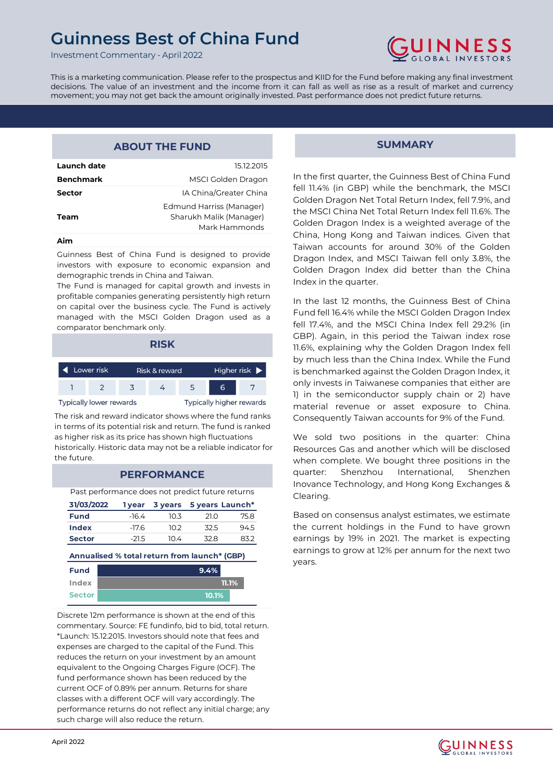Investment Commentary - April 2022



This is a marketing communication. Please refer to the prospectus and KIID for the Fund before making any final investment decisions. The value of an investment and the income from it can fall as well as rise as a result of market and currency movement; you may not get back the amount originally invested. Past performance does not predict future returns.

### **ABOUT THE FUND**

| Launch date      | 15.12.2015                                                           |
|------------------|----------------------------------------------------------------------|
| <b>Benchmark</b> | MSCI Golden Dragon                                                   |
| Sector           | IA China/Greater China                                               |
| Team             | Edmund Harriss (Manager)<br>Sharukh Malik (Manager)<br>Mark Hammonds |
|                  |                                                                      |

#### **Aim**

Guinness Best of China Fund is designed to provide investors with exposure to economic expansion and demographic trends in China and Taiwan.

The Fund is managed for capital growth and invests in profitable companies generating persistently high return on capital over the business cycle. The Fund is actively managed with the MSCI Golden Dragon used as a comparator benchmark only.

| <b>RISK</b>                    |                             |                          |  |                                   |   |  |
|--------------------------------|-----------------------------|--------------------------|--|-----------------------------------|---|--|
|                                | Lower risk<br>Risk & reward |                          |  | Higher risk $\blacktriangleright$ |   |  |
|                                |                             |                          |  |                                   | 6 |  |
| <b>Typically lower rewards</b> |                             | Typically higher rewards |  |                                   |   |  |

The risk and reward indicator shows where the fund ranks in terms of its potential risk and return. The fund is ranked as higher risk as its price has shown high fluctuations historically. Historic data may not be a reliable indicator for the future.

#### **PERFORMANCE**

Past performance does not predict future returns

| 31/03/2022    |         | 1 year 3 years 5 years Launch* |      |      |
|---------------|---------|--------------------------------|------|------|
| <b>Fund</b>   | $-16.4$ | 10 3                           | 21.O | 75.8 |
| Index         | $-17.6$ | 102                            | 32.5 | 94.5 |
| <b>Sector</b> | $-21.5$ | 10.4                           | 32.8 | 832  |
|               |         |                                |      |      |

**Annualised % total return from launch\* (GBP)**

| <b>Fund</b>   | 9.4%  |  |
|---------------|-------|--|
| Index         | 11.1% |  |
| <b>Sector</b> | 10.1% |  |

Discrete 12m performance is shown at the end of this commentary. Source: FE fundinfo, bid to bid, total return. \*Launch: 15.12.2015. Investors should note that fees and expenses are charged to the capital of the Fund. This reduces the return on your investment by an amount equivalent to the Ongoing Charges Figure (OCF). The fund performance shown has been reduced by the current OCF of 0.89% per annum. Returns for share classes with a different OCF will vary accordingly. The performance returns do not reflect any initial charge; any such charge will also reduce the return.

#### **SUMMARY**

In the first quarter, the Guinness Best of China Fund fell 11.4% (in GBP) while the benchmark, the MSCI Golden Dragon Net Total Return Index, fell 7.9%, and the MSCI China Net Total Return Index fell 11.6%. The Golden Dragon Index is a weighted average of the China, Hong Kong and Taiwan indices. Given that Taiwan accounts for around 30% of the Golden Dragon Index, and MSCI Taiwan fell only 3.8%, the Golden Dragon Index did better than the China Index in the quarter.

In the last 12 months, the Guinness Best of China Fund fell 16.4% while the MSCI Golden Dragon Index fell 17.4%, and the MSCI China Index fell 29.2% (in GBP). Again, in this period the Taiwan index rose 11.6%, explaining why the Golden Dragon Index fell by much less than the China Index. While the Fund is benchmarked against the Golden Dragon Index, it only invests in Taiwanese companies that either are 1) in the semiconductor supply chain or 2) have material revenue or asset exposure to China. Consequently Taiwan accounts for 9% of the Fund.

We sold two positions in the quarter: China Resources Gas and another which will be disclosed when complete. We bought three positions in the quarter: Shenzhou International, Shenzhen Inovance Technology, and Hong Kong Exchanges & Clearing.

Based on consensus analyst estimates, we estimate the current holdings in the Fund to have grown earnings by 19% in 2021. The market is expecting earnings to grow at 12% per annum for the next two years.

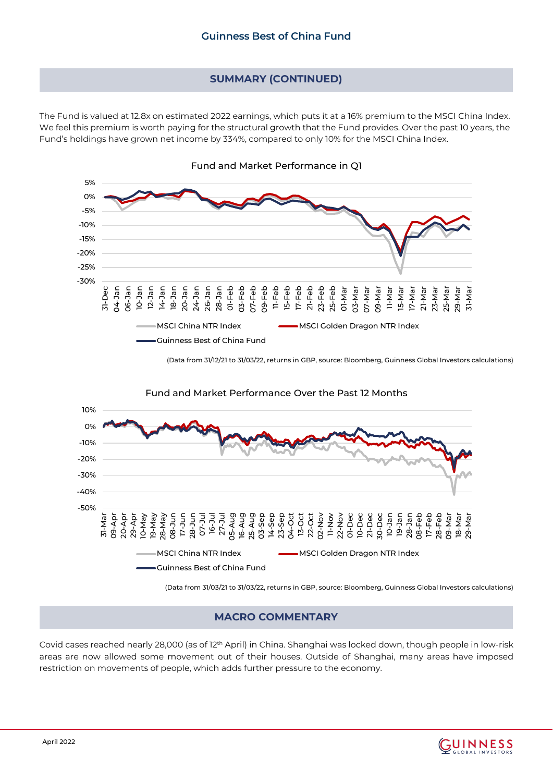# **SUMMARY (CONTINUED)**

The Fund is valued at 12.8x on estimated 2022 earnings, which puts it at a 16% premium to the MSCI China Index. We feel this premium is worth paying for the structural growth that the Fund provides. Over the past 10 years, the Fund's holdings have grown net income by 334%, compared to only 10% for the MSCI China Index.



(Data from 31/12/21 to 31/03/22, returns in GBP, source: Bloomberg, Guinness Global Investors calculations)



(Data from 31/03/21 to 31/03/22, returns in GBP, source: Bloomberg, Guinness Global Investors calculations)

# **MACRO COMMENTARY**

Covid cases reached nearly 28,000 (as of 12th April) in China. Shanghai was locked down, though people in low-risk areas are now allowed some movement out of their houses. Outside of Shanghai, many areas have imposed restriction on movements of people, which adds further pressure to the economy.

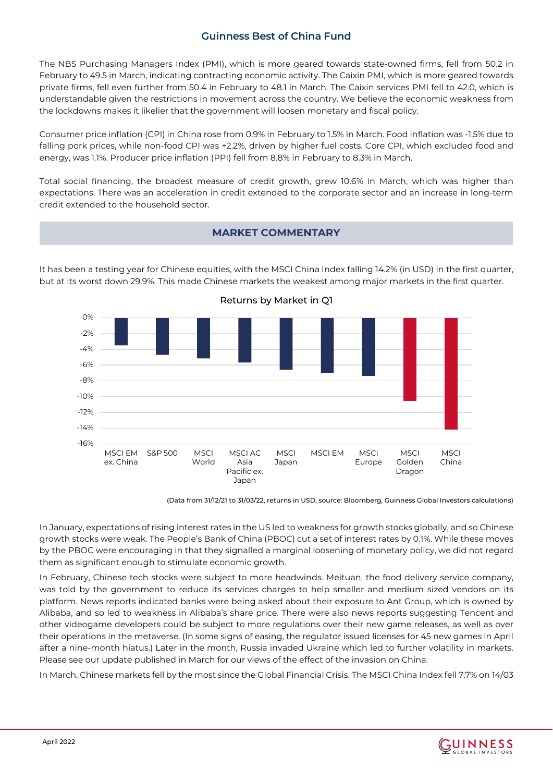The NBS Purchasing Managers Index (PMI), which is more geared towards state-owned firms, fell from 50.2 in February to 49.5 in March, indicating contracting economic activity. The Caixin PMI, which is more geared towards private firms, fell even further from 50.4 in February to 48.1 in March. The Caixin services PMI fell to 42.0, which is understandable given the restrictions in movement across the country. We believe the economic weakness from the lockdowns makes it likelier that the government will loosen monetary and fiscal policy.

Consumer price inflation (CPI) in China rose from 0.9% in February to 1.5% in March. Food inflation was -1.5% due to falling pork prices, while non-food CPI was +2.2%, driven by higher fuel costs. Core CPI, which excluded food and energy, was 1.1%. Producer price inflation (PPI) fell from 8.8% in February to 8.3% in March.

Total social financing, the broadest measure of credit growth, grew 10.6% in March, which was higher than expectations. There was an acceleration in credit extended to the corporate sector and an increase in long-term credit extended to the household sector.



# **MARKET COMMENTARY**

It has been a testing year for Chinese equities, with the MSCI China Index falling 14.2% (in USD) in the first quarter, but at its worst down 29.9%. This made Chinese markets the weakest among major markets in the first quarter.

(Data from 31/12/21 to 31/03/22, returns in USD, source: Bloomberg, Guinness Global Investors calculations)

In January, expectations of rising interest rates in the US led to weakness for growth stocks globally, and so Chinese growth stocks were weak. The People's Bank of China (PBOC) cut a set of interest rates by 0.1%. While these moves by the PBOC were encouraging in that they signalled a marginal loosening of monetary policy, we did not regard them as significant enough to stimulate economic growth.

In February, Chinese tech stocks were subject to more headwinds. Meituan, the food delivery service company, was told by the government to reduce its services charges to help smaller and medium sized vendors on its platform. News reports indicated banks were being asked about their exposure to Ant Group, which is owned by Alibaba, and so led to weakness in Alibaba's share price. There were also news reports suggesting Tencent and other videogame developers could be subject to more regulations over their new game releases, as well as over their operations in the metaverse. (In some signs of easing, the regulator issued licenses for 45 new games in April after a nine-month hiatus.) Later in the month, Russia invaded Ukraine which led to further volatility in markets. Please see our update published in March for our views of the effect of the invasion on China.

In March, Chinese markets fell by the most since the Global Financial Crisis. The MSCI China Index fell 7.7% on 14/03

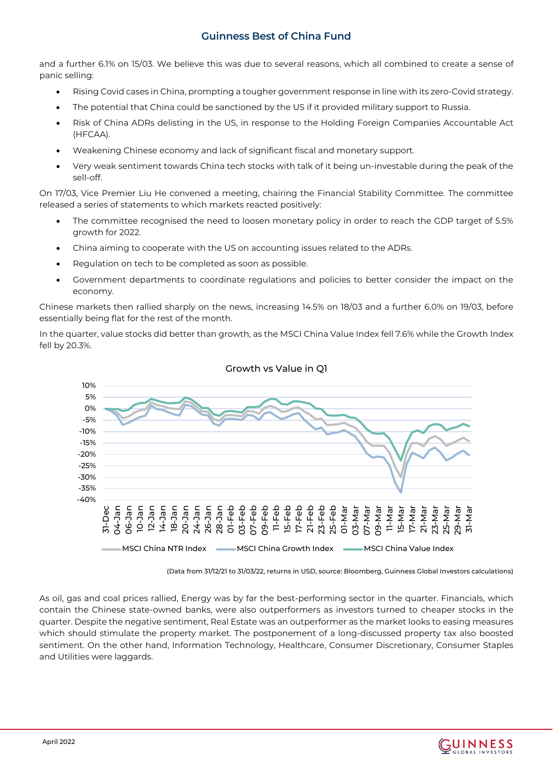and a further 6.1% on 15/03. We believe this was due to several reasons, which all combined to create a sense of panic selling:

- Rising Covid cases in China, prompting a tougher government response in line with its zero-Covid strategy.
- The potential that China could be sanctioned by the US if it provided military support to Russia.
- Risk of China ADRs delisting in the US, in response to the Holding Foreign Companies Accountable Act (HFCAA).
- Weakening Chinese economy and lack of significant fiscal and monetary support.
- Very weak sentiment towards China tech stocks with talk of it being un-investable during the peak of the sell-off.

On 17/03, Vice Premier Liu He convened a meeting, chairing the Financial Stability Committee. The committee released a series of statements to which markets reacted positively:

- The committee recognised the need to loosen monetary policy in order to reach the GDP target of 5.5% growth for 2022.
- China aiming to cooperate with the US on accounting issues related to the ADRs.
- Regulation on tech to be completed as soon as possible.
- Government departments to coordinate regulations and policies to better consider the impact on the economy.

Chinese markets then rallied sharply on the news, increasing 14.5% on 18/03 and a further 6.0% on 19/03, before essentially being flat for the rest of the month.

In the quarter, value stocks did better than growth, as the MSCI China Value Index fell 7.6% while the Growth Index fell by 20.3%.



#### Growth vs Value in Q1

(Data from 31/12/21 to 31/03/22, returns in USD, source: Bloomberg, Guinness Global Investors calculations)

As oil, gas and coal prices rallied, Energy was by far the best-performing sector in the quarter. Financials, which contain the Chinese state-owned banks, were also outperformers as investors turned to cheaper stocks in the quarter. Despite the negative sentiment, Real Estate was an outperformer as the market looks to easing measures which should stimulate the property market. The postponement of a long-discussed property tax also boosted sentiment. On the other hand, Information Technology, Healthcare, Consumer Discretionary, Consumer Staples and Utilities were laggards.

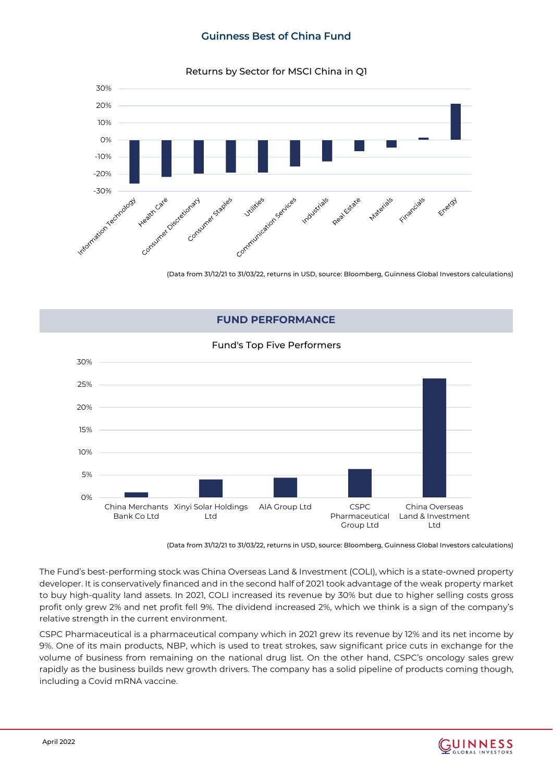Returns by Sector for MSCI China in Q1



(Data from 31/12/21 to 31/03/22, returns in USD, source: Bloomberg, Guinness Global Investors calculations)

### **FUND PERFORMANCE**

#### Fund's Top Five Performers



(Data from 31/12/21 to 31/03/22, returns in USD, source: Bloomberg, Guinness Global Investors calculations)

The Fund's best-performing stock was China Overseas Land & Investment (COLI), which is a state-owned property developer. It is conservatively financed and in the second half of 2021 took advantage of the weak property market to buy high-quality land assets. In 2021, COLI increased its revenue by 30% but due to higher selling costs gross profit only grew 2% and net profit fell 9%. The dividend increased 2%, which we think is a sign of the company's relative strength in the current environment.

CSPC Pharmaceutical is a pharmaceutical company which in 2021 grew its revenue by 12% and its net income by 9%. One of its main products, NBP, which is used to treat strokes, saw significant price cuts in exchange for the volume of business from remaining on the national drug list. On the other hand, CSPC's oncology sales grew rapidly as the business builds new growth drivers. The company has a solid pipeline of products coming though, including a Covid mRNA vaccine.

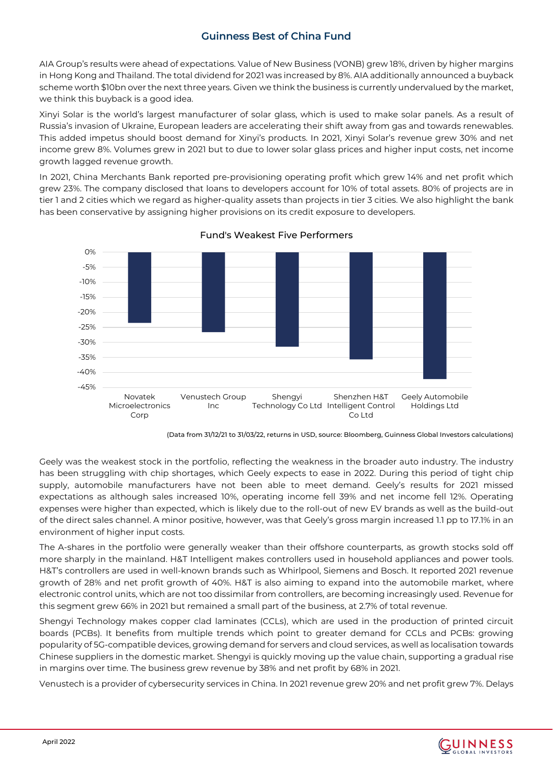AIA Group's results were ahead of expectations. Value of New Business (VONB) grew 18%, driven by higher margins in Hong Kong and Thailand. The total dividend for 2021 was increased by 8%. AIA additionally announced a buyback scheme worth \$10bn over the next three years. Given we think the business is currently undervalued by the market, we think this buyback is a good idea.

Xinyi Solar is the world's largest manufacturer of solar glass, which is used to make solar panels. As a result of Russia's invasion of Ukraine, European leaders are accelerating their shift away from gas and towards renewables. This added impetus should boost demand for Xinyi's products. In 2021, Xinyi Solar's revenue grew 30% and net income grew 8%. Volumes grew in 2021 but to due to lower solar glass prices and higher input costs, net income growth lagged revenue growth.

In 2021, China Merchants Bank reported pre-provisioning operating profit which grew 14% and net profit which grew 23%. The company disclosed that loans to developers account for 10% of total assets. 80% of projects are in tier 1 and 2 cities which we regard as higher-quality assets than projects in tier 3 cities. We also highlight the bank has been conservative by assigning higher provisions on its credit exposure to developers.



#### Fund's Weakest Five Performers

(Data from 31/12/21 to 31/03/22, returns in USD, source: Bloomberg, Guinness Global Investors calculations)

Geely was the weakest stock in the portfolio, reflecting the weakness in the broader auto industry. The industry has been struggling with chip shortages, which Geely expects to ease in 2022. During this period of tight chip supply, automobile manufacturers have not been able to meet demand. Geely's results for 2021 missed expectations as although sales increased 10%, operating income fell 39% and net income fell 12%. Operating expenses were higher than expected, which is likely due to the roll-out of new EV brands as well as the build-out of the direct sales channel. A minor positive, however, was that Geely's gross margin increased 1.1 pp to 17.1% in an environment of higher input costs.

The A-shares in the portfolio were generally weaker than their offshore counterparts, as growth stocks sold off more sharply in the mainland. H&T Intelligent makes controllers used in household appliances and power tools. H&T's controllers are used in well-known brands such as Whirlpool, Siemens and Bosch. It reported 2021 revenue growth of 28% and net profit growth of 40%. H&T is also aiming to expand into the automobile market, where electronic control units, which are not too dissimilar from controllers, are becoming increasingly used. Revenue for this segment grew 66% in 2021 but remained a small part of the business, at 2.7% of total revenue.

Shengyi Technology makes copper clad laminates (CCLs), which are used in the production of printed circuit boards (PCBs). It benefits from multiple trends which point to greater demand for CCLs and PCBs: growing popularity of 5G-compatible devices, growing demand for servers and cloud services, as well as localisation towards Chinese suppliers in the domestic market. Shengyi is quickly moving up the value chain, supporting a gradual rise in margins over time. The business grew revenue by 38% and net profit by 68% in 2021.

Venustech is a provider of cybersecurity services in China. In 2021 revenue grew 20% and net profit grew 7%. Delays

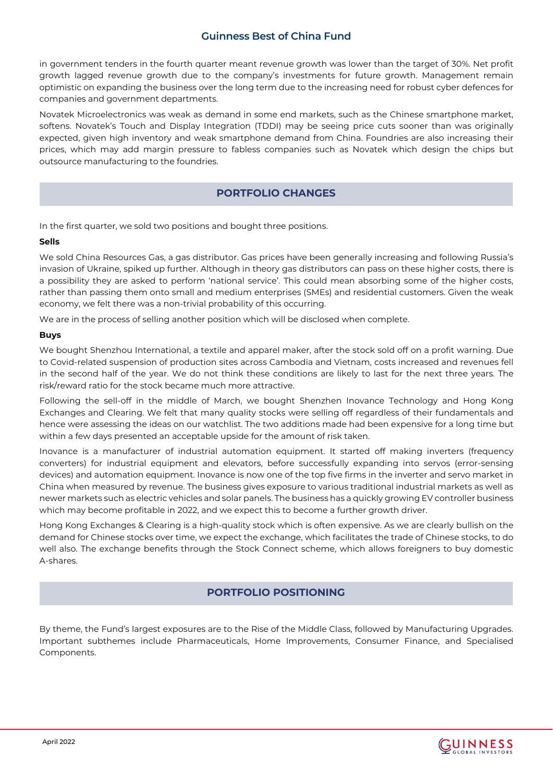in government tenders in the fourth quarter meant revenue growth was lower than the target of 30%. Net profit growth lagged revenue growth due to the company's investments for future growth. Management remain optimistic on expanding the business over the long term due to the increasing need for robust cyber defences for companies and government departments.

Novatek Microelectronics was weak as demand in some end markets, such as the Chinese smartphone market, softens. Novatek's Touch and Display Integration (TDDI) may be seeing price cuts sooner than was originally expected, given high inventory and weak smartphone demand from China. Foundries are also increasing their prices, which may add margin pressure to fabless companies such as Novatek which design the chips but outsource manufacturing to the foundries.

# **PORTFOLIO CHANGES**

In the first quarter, we sold two positions and bought three positions.

#### **Sells**

We sold China Resources Gas, a gas distributor. Gas prices have been generally increasing and following Russia's invasion of Ukraine, spiked up further. Although in theory gas distributors can pass on these higher costs, there is a possibility they are asked to perform 'national service'. This could mean absorbing some of the higher costs, rather than passing them onto small and medium enterprises (SMEs) and residential customers. Given the weak economy, we felt there was a non-trivial probability of this occurring.

We are in the process of selling another position which will be disclosed when complete.

#### **Buys**

We bought Shenzhou International, a textile and apparel maker, after the stock sold off on a profit warning. Due to Covid-related suspension of production sites across Cambodia and Vietnam, costs increased and revenues fell in the second half of the year. We do not think these conditions are likely to last for the next three years. The risk/reward ratio for the stock became much more attractive.

Following the sell-off in the middle of March, we bought Shenzhen Inovance Technology and Hong Kong Exchanges and Clearing. We felt that many quality stocks were selling off regardless of their fundamentals and hence were assessing the ideas on our watchlist. The two additions made had been expensive for a long time but within a few days presented an acceptable upside for the amount of risk taken.

Inovance is a manufacturer of industrial automation equipment. It started off making inverters (frequency converters) for industrial equipment and elevators, before successfully expanding into servos (error-sensing devices) and automation equipment. Inovance is now one of the top five firms in the inverter and servo market in China when measured by revenue. The business gives exposure to various traditional industrial markets as well as newer markets such as electric vehicles and solar panels. The business has a quickly growing EV controller business which may become profitable in 2022, and we expect this to become a further growth driver.

Hong Kong Exchanges & Clearing is a high-quality stock which is often expensive. As we are clearly bullish on the demand for Chinese stocks over time, we expect the exchange, which facilitates the trade of Chinese stocks, to do well also. The exchange benefits through the Stock Connect scheme, which allows foreigners to buy domestic A-shares.

### **PORTFOLIO POSITIONING**

By theme, the Fund's largest exposures are to the Rise of the Middle Class, followed by Manufacturing Upgrades. Important subthemes include Pharmaceuticals, Home Improvements, Consumer Finance, and Specialised Components.

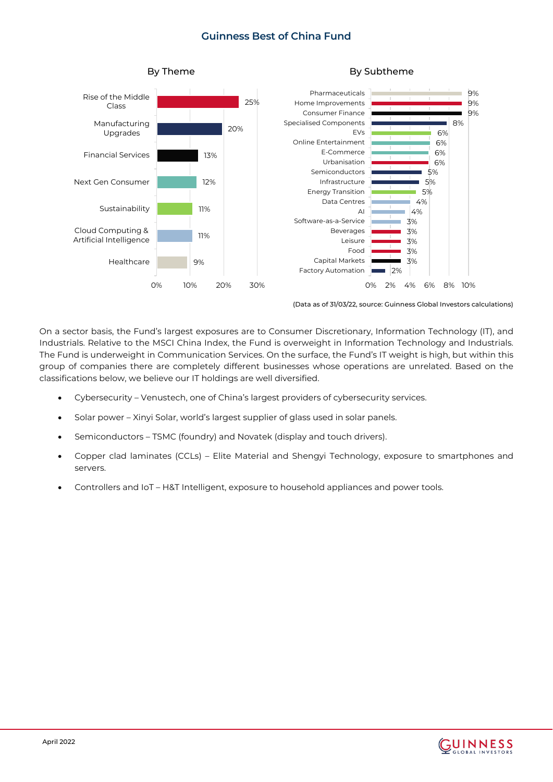

(Data as of 31/03/22, source: Guinness Global Investors calculations)

On a sector basis, the Fund's largest exposures are to Consumer Discretionary, Information Technology (IT), and Industrials. Relative to the MSCI China Index, the Fund is overweight in Information Technology and Industrials. The Fund is underweight in Communication Services. On the surface, the Fund's IT weight is high, but within this group of companies there are completely different businesses whose operations are unrelated. Based on the classifications below, we believe our IT holdings are well diversified.

- Cybersecurity Venustech, one of China's largest providers of cybersecurity services.
- Solar power Xinyi Solar, world's largest supplier of glass used in solar panels.
- Semiconductors TSMC (foundry) and Novatek (display and touch drivers).
- Copper clad laminates (CCLs) Elite Material and Shengyi Technology, exposure to smartphones and servers.
- Controllers and IoT H&T Intelligent, exposure to household appliances and power tools.

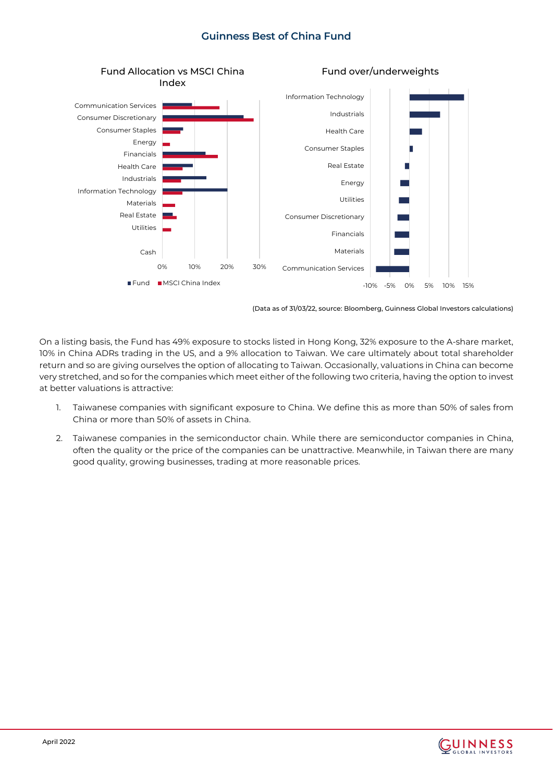

(Data as of 31/03/22, source: Bloomberg, Guinness Global Investors calculations)

On a listing basis, the Fund has 49% exposure to stocks listed in Hong Kong, 32% exposure to the A-share market, 10% in China ADRs trading in the US, and a 9% allocation to Taiwan. We care ultimately about total shareholder return and so are giving ourselves the option of allocating to Taiwan. Occasionally, valuations in China can become very stretched, and so for the companies which meet either of the following two criteria, having the option to invest at better valuations is attractive:

- 1. Taiwanese companies with significant exposure to China. We define this as more than 50% of sales from China or more than 50% of assets in China.
- 2. Taiwanese companies in the semiconductor chain. While there are semiconductor companies in China, often the quality or the price of the companies can be unattractive. Meanwhile, in Taiwan there are many good quality, growing businesses, trading at more reasonable prices.

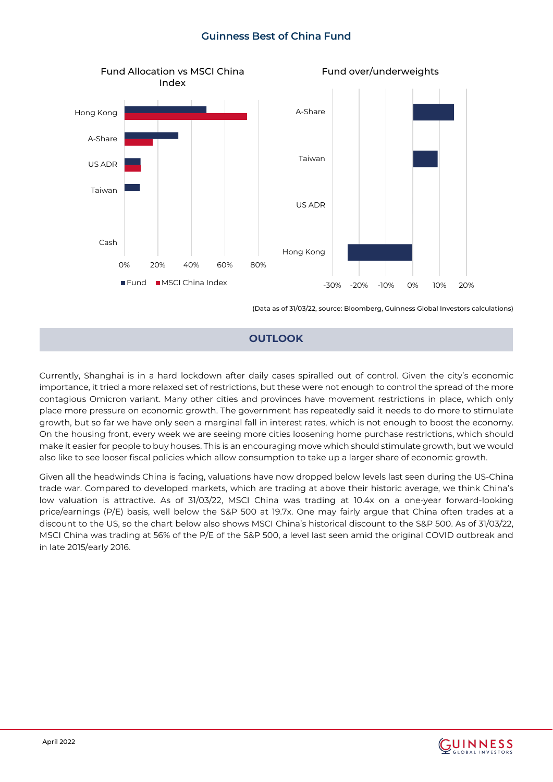

(Data as of 31/03/22, source: Bloomberg, Guinness Global Investors calculations)

#### **OUTLOOK**

Currently, Shanghai is in a hard lockdown after daily cases spiralled out of control. Given the city's economic importance, it tried a more relaxed set of restrictions, but these were not enough to control the spread of the more contagious Omicron variant. Many other cities and provinces have movement restrictions in place, which only place more pressure on economic growth. The government has repeatedly said it needs to do more to stimulate growth, but so far we have only seen a marginal fall in interest rates, which is not enough to boost the economy. On the housing front, every week we are seeing more cities loosening home purchase restrictions, which should make it easier for people to buy houses. This is an encouraging move which should stimulate growth, but we would also like to see looser fiscal policies which allow consumption to take up a larger share of economic growth.

Given all the headwinds China is facing, valuations have now dropped below levels last seen during the US-China trade war. Compared to developed markets, which are trading at above their historic average, we think China's low valuation is attractive. As of 31/03/22, MSCI China was trading at 10.4x on a one-year forward-looking price/earnings (P/E) basis, well below the S&P 500 at 19.7x. One may fairly argue that China often trades at a discount to the US, so the chart below also shows MSCI China's historical discount to the S&P 500. As of 31/03/22, MSCI China was trading at 56% of the P/E of the S&P 500, a level last seen amid the original COVID outbreak and in late 2015/early 2016.

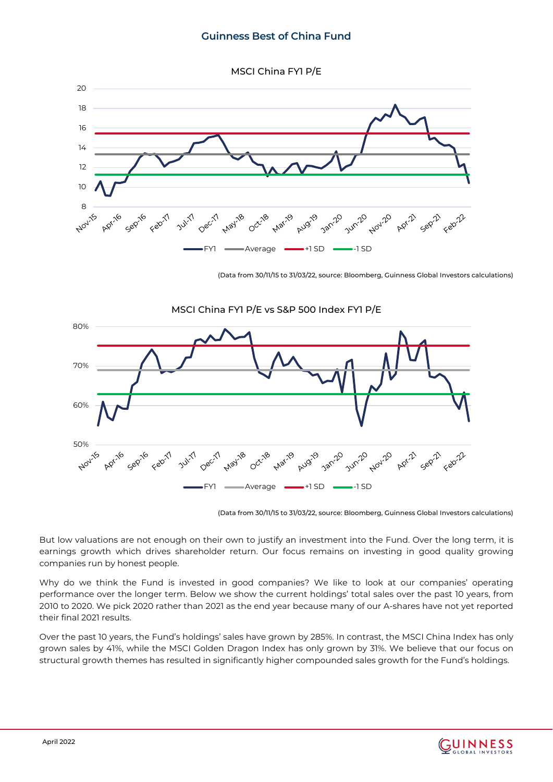MSCI China FY1 P/E



(Data from 30/11/15 to 31/03/22, source: Bloomberg, Guinness Global Investors calculations)



(Data from 30/11/15 to 31/03/22, source: Bloomberg, Guinness Global Investors calculations)

But low valuations are not enough on their own to justify an investment into the Fund. Over the long term, it is earnings growth which drives shareholder return. Our focus remains on investing in good quality growing companies run by honest people.

Why do we think the Fund is invested in good companies? We like to look at our companies' operating performance over the longer term. Below we show the current holdings' total sales over the past 10 years, from 2010 to 2020. We pick 2020 rather than 2021 as the end year because many of our A-shares have not yet reported their final 2021 results.

Over the past 10 years, the Fund's holdings' sales have grown by 285%. In contrast, the MSCI China Index has only grown sales by 41%, while the MSCI Golden Dragon Index has only grown by 31%. We believe that our focus on structural growth themes has resulted in significantly higher compounded sales growth for the Fund's holdings.

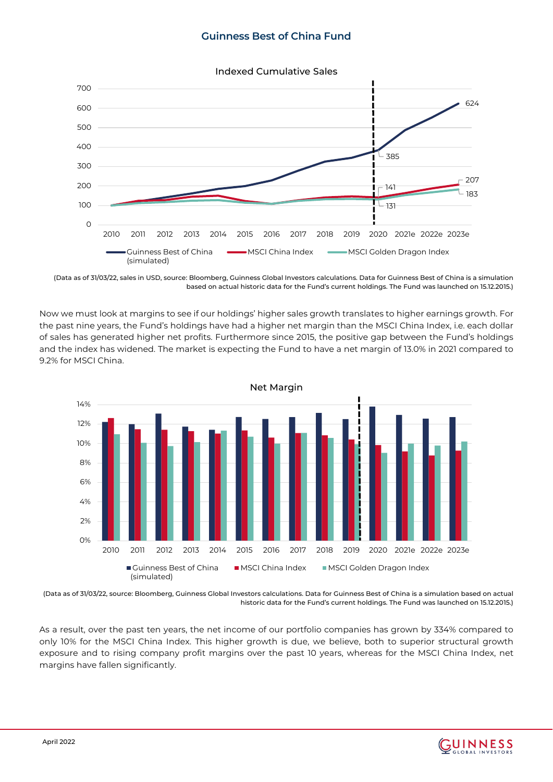

(Data as of 31/03/22, sales in USD, source: Bloomberg, Guinness Global Investors calculations. Data for Guinness Best of China is a simulation based on actual historic data for the Fund's current holdings. The Fund was launched on 15.12.2015.)

Now we must look at margins to see if our holdings' higher sales growth translates to higher earnings growth. For the past nine years, the Fund's holdings have had a higher net margin than the MSCI China Index, i.e. each dollar of sales has generated higher net profits. Furthermore since 2015, the positive gap between the Fund's holdings and the index has widened. The market is expecting the Fund to have a net margin of 13.0% in 2021 compared to 9.2% for MSCI China.



(Data as of 31/03/22, source: Bloomberg, Guinness Global Investors calculations. Data for Guinness Best of China is a simulation based on actual historic data for the Fund's current holdings. The Fund was launched on 15.12.2015.)

As a result, over the past ten years, the net income of our portfolio companies has grown by 334% compared to only 10% for the MSCI China Index. This higher growth is due, we believe, both to superior structural growth exposure and to rising company profit margins over the past 10 years, whereas for the MSCI China Index, net margins have fallen significantly.

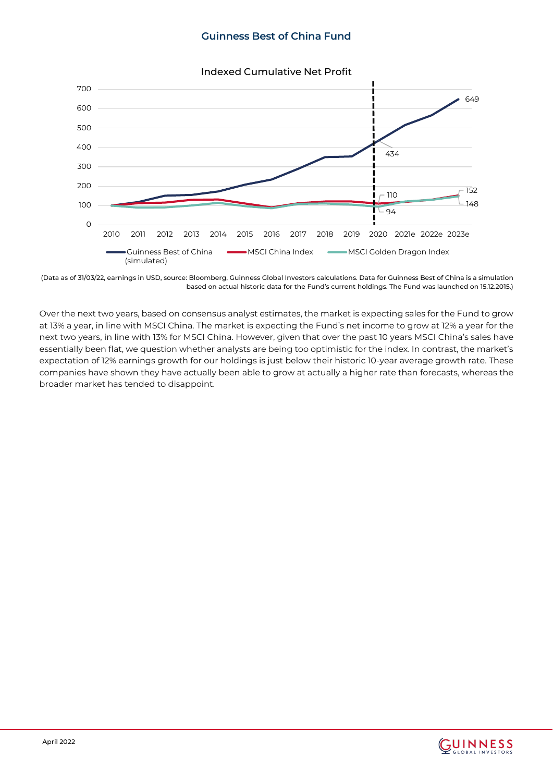

#### Indexed Cumulative Net Profit

(Data as of 31/03/22, earnings in USD, source: Bloomberg, Guinness Global Investors calculations. Data for Guinness Best of China is a simulation based on actual historic data for the Fund's current holdings. The Fund was launched on 15.12.2015.)

Over the next two years, based on consensus analyst estimates, the market is expecting sales for the Fund to grow at 13% a year, in line with MSCI China. The market is expecting the Fund's net income to grow at 12% a year for the next two years, in line with 13% for MSCI China. However, given that over the past 10 years MSCI China's sales have essentially been flat, we question whether analysts are being too optimistic for the index. In contrast, the market's expectation of 12% earnings growth for our holdings is just below their historic 10-year average growth rate. These companies have shown they have actually been able to grow at actually a higher rate than forecasts, whereas the broader market has tended to disappoint.

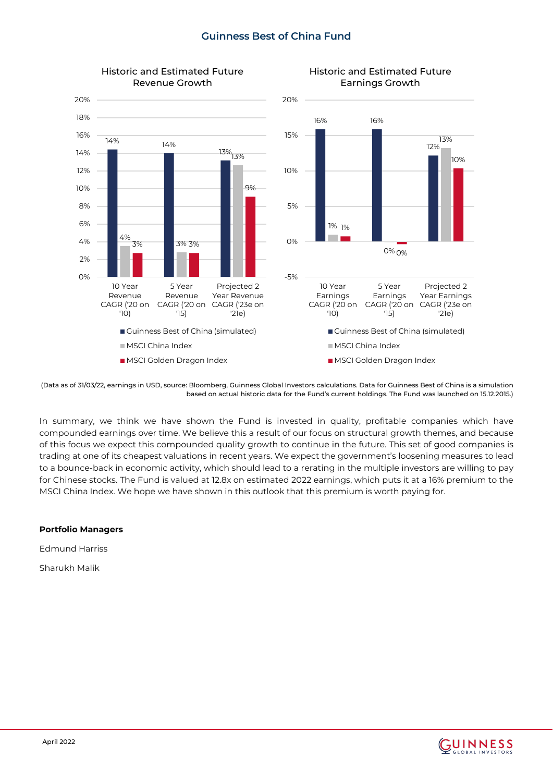



<sup>(</sup>Data as of 31/03/22, earnings in USD, source: Bloomberg, Guinness Global Investors calculations. Data for Guinness Best of China is a simulation based on actual historic data for the Fund's current holdings. The Fund was launched on 15.12.2015.)

In summary, we think we have shown the Fund is invested in quality, profitable companies which have compounded earnings over time. We believe this a result of our focus on structural growth themes, and because of this focus we expect this compounded quality growth to continue in the future. This set of good companies is trading at one of its cheapest valuations in recent years. We expect the government's loosening measures to lead to a bounce-back in economic activity, which should lead to a rerating in the multiple investors are willing to pay for Chinese stocks. The Fund is valued at 12.8x on estimated 2022 earnings, which puts it at a 16% premium to the MSCI China Index. We hope we have shown in this outlook that this premium is worth paying for.

#### **Portfolio Managers**

Edmund Harriss

Sharukh Malik

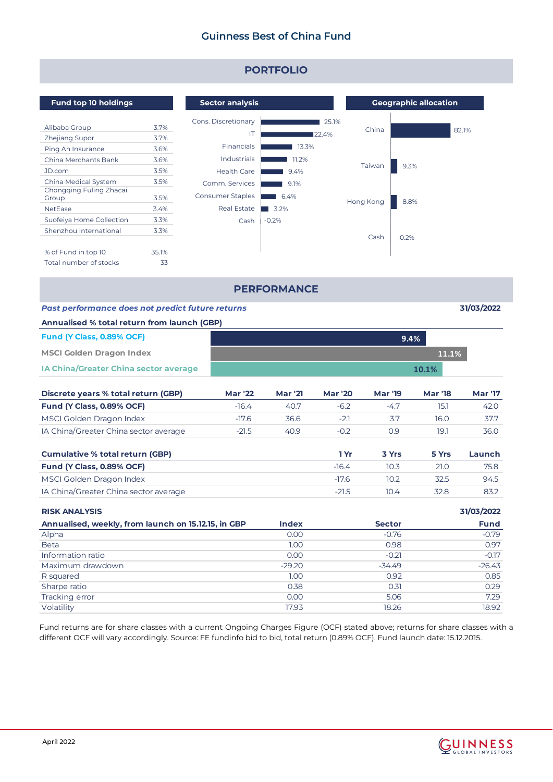

Fund returns are for share classes with a current Ongoing Charges Figure (OCF) stated above; returns for share classes with a different OCF will vary accordingly. Source: FE fundinfo bid to bid, total return (0.89% OCF). Fund launch date: 15.12.2015.